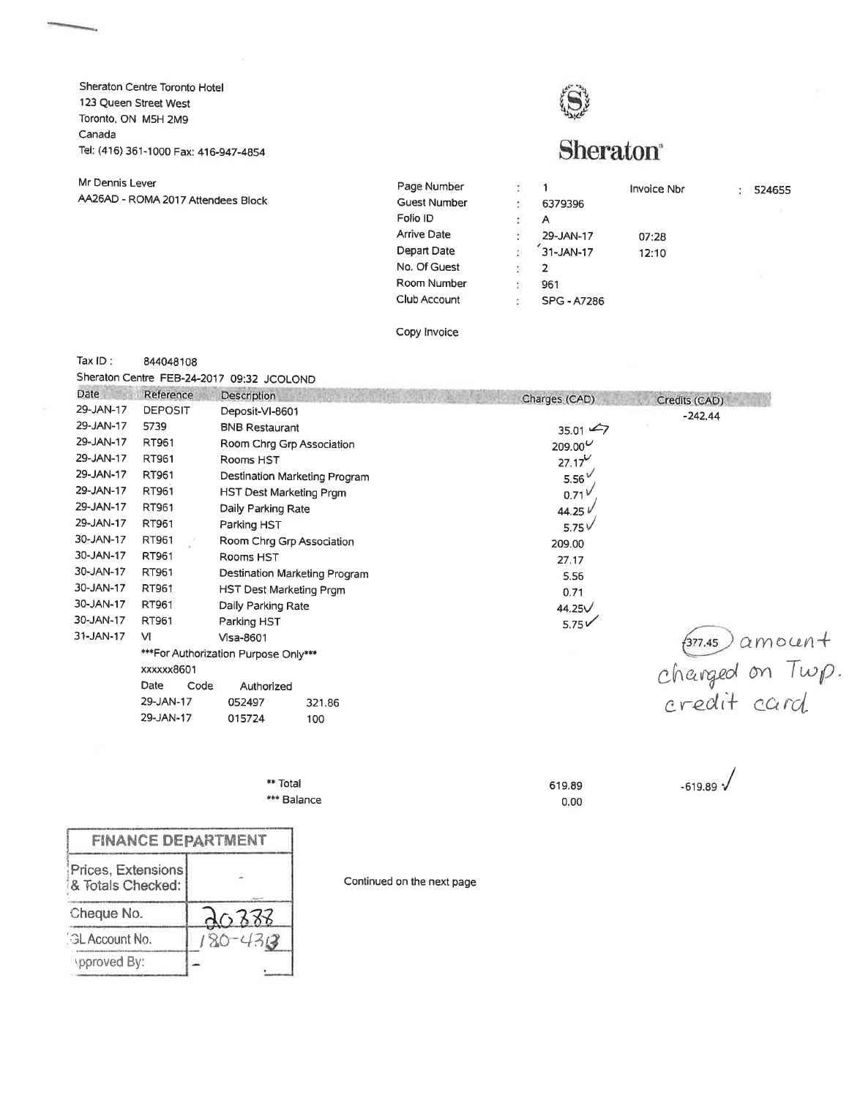Sheraton Centre Toronto Hotel 123 Queen Street West Toronto, ON M5H 2M9 Canada Tel: (416) 361-1000 Fax: 416-947-4854



## Sheraton

| <b>Guest Number</b><br>6379396<br>Folio ID<br>А<br><b>Arrive Date</b><br>29-JAN-17<br>07:28<br>Depart Date<br>31-JAN-17<br>12:10<br>No. Of Guest<br>2<br>Room Number<br>961<br>Club Account<br>SPG - A7286 | Mr Dennis Lever                    | Page Number |  | <b>Invoice Nbr</b> | 524655 |
|------------------------------------------------------------------------------------------------------------------------------------------------------------------------------------------------------------|------------------------------------|-------------|--|--------------------|--------|
|                                                                                                                                                                                                            | AA26AD - ROMA 2017 Attendees Block |             |  |                    |        |
|                                                                                                                                                                                                            |                                    |             |  |                    |        |
|                                                                                                                                                                                                            |                                    |             |  |                    |        |
|                                                                                                                                                                                                            |                                    |             |  |                    |        |
|                                                                                                                                                                                                            |                                    |             |  |                    |        |
|                                                                                                                                                                                                            |                                    |             |  |                    |        |
|                                                                                                                                                                                                            |                                    |             |  |                    |        |

Copy lnvoice

Tax lD: <sup>844048108</sup>

sheraton centre FEB-24-2017 09;32 JCOLOND

| Date      | Reference      | Description                          |        | Charges (CAD)     | Credits (CAD)                      |
|-----------|----------------|--------------------------------------|--------|-------------------|------------------------------------|
| 29-JAN-17 | <b>DEPOSIT</b> | Deposit-VI-8601                      |        |                   | $-242.44$                          |
| 29-JAN-17 | 5739           | <b>BNB Restaurant</b>                |        | $35.01 \div 7$    |                                    |
| 29-JAN-17 | RT961          | Room Chrg Grp Association            |        | $209.00^{U}$      |                                    |
| 29-JAN-17 | RT961          | Rooms HST                            |        | $27.17^{\circ}$   |                                    |
| 29-JAN-17 | RT961          | Destination Marketing Program        |        | 5.56 <sup>V</sup> |                                    |
| 29-JAN-17 | RT961          | HST Dest Marketing Prgm              |        | 0.71V             |                                    |
| 29-JAN-17 | RT961          | Daily Parking Rate                   |        | 44.25 V           |                                    |
| 29-JAN-17 | RT961          | Parking HST                          |        | 5.75 $V$          |                                    |
| 30-JAN-17 | RT961          | Room Chrg Grp Association            |        | 209.00            |                                    |
| 30-JAN-17 | RT961          | Rooms HST                            |        | 27.17             |                                    |
| 30-JAN-17 | RT961          | Destination Marketing Program        |        | 5.56              |                                    |
| 30-JAN-17 | RT961          | HST Dest Marketing Prgm              |        | 0.71              |                                    |
| 30-JAN-17 | RT961          | Daily Parking Rate                   |        | 44.25V            |                                    |
| 30-JAN-17 | RT961          | Parking HST                          |        | $5.75\sqrt{}$     |                                    |
| 31-JAN-17 | <b>VI</b>      | Visa-8601                            |        |                   |                                    |
|           |                | ***For Authorization Purpose Only*** |        |                   |                                    |
|           | xxxxxx8601     |                                      |        |                   |                                    |
|           | Date<br>Code   | Authorized                           |        |                   | formulas amount<br>changed on Twp. |
|           | 29-JAN-17      | 052497                               | 321.86 |                   |                                    |
|           | 29-JAN-17      | 015724                               | 100    |                   |                                    |
|           |                |                                      |        |                   |                                    |

\*\* Total \*\*\* Balance 619.89 0.00

 $-619.89$ 

| <b>FINANCE DEPARTMENT</b>               |             |
|-----------------------------------------|-------------|
| Prices, Extensions<br>& Totals Checked: |             |
| Cheque No.                              | d0388       |
| <b>GL Account No.</b>                   | $180 - 430$ |
| spproved By:                            |             |

Continued on the next page